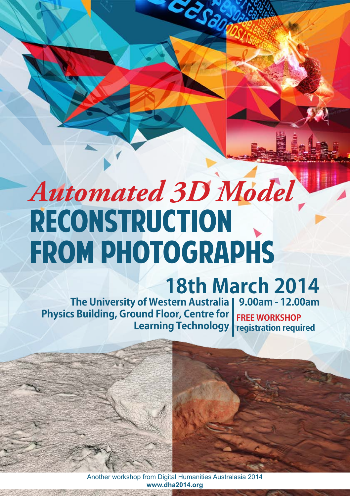## *Automated 3D Model*  **RECONSTRUCTION FROM PHOTOGRAPHS**

## **18th March 2014**

**The University of Western Australia 9.00am - 12.00am Physics Building, Ground Floor, Centre for Learning Technology registration requiredFree workshop**

> Another workshop from Digital Humanities Australasia 2014 **www.dha2014.org**